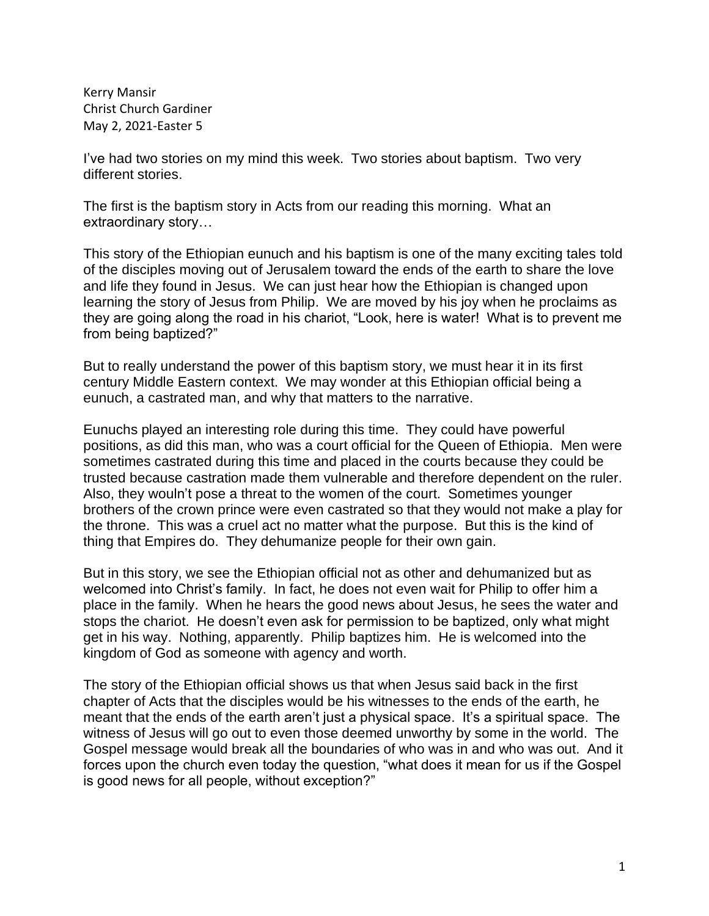Kerry Mansir Christ Church Gardiner May 2, 2021-Easter 5

I've had two stories on my mind this week. Two stories about baptism. Two very different stories.

The first is the baptism story in Acts from our reading this morning. What an extraordinary story…

This story of the Ethiopian eunuch and his baptism is one of the many exciting tales told of the disciples moving out of Jerusalem toward the ends of the earth to share the love and life they found in Jesus. We can just hear how the Ethiopian is changed upon learning the story of Jesus from Philip. We are moved by his joy when he proclaims as they are going along the road in his chariot, "Look, here is water! What is to prevent me from being baptized?"

But to really understand the power of this baptism story, we must hear it in its first century Middle Eastern context. We may wonder at this Ethiopian official being a eunuch, a castrated man, and why that matters to the narrative.

Eunuchs played an interesting role during this time. They could have powerful positions, as did this man, who was a court official for the Queen of Ethiopia. Men were sometimes castrated during this time and placed in the courts because they could be trusted because castration made them vulnerable and therefore dependent on the ruler. Also, they wouln't pose a threat to the women of the court. Sometimes younger brothers of the crown prince were even castrated so that they would not make a play for the throne. This was a cruel act no matter what the purpose. But this is the kind of thing that Empires do. They dehumanize people for their own gain.

But in this story, we see the Ethiopian official not as other and dehumanized but as welcomed into Christ's family. In fact, he does not even wait for Philip to offer him a place in the family. When he hears the good news about Jesus, he sees the water and stops the chariot. He doesn't even ask for permission to be baptized, only what might get in his way. Nothing, apparently. Philip baptizes him. He is welcomed into the kingdom of God as someone with agency and worth.

The story of the Ethiopian official shows us that when Jesus said back in the first chapter of Acts that the disciples would be his witnesses to the ends of the earth, he meant that the ends of the earth aren't just a physical space. It's a spiritual space. The witness of Jesus will go out to even those deemed unworthy by some in the world. The Gospel message would break all the boundaries of who was in and who was out. And it forces upon the church even today the question, "what does it mean for us if the Gospel is good news for all people, without exception?"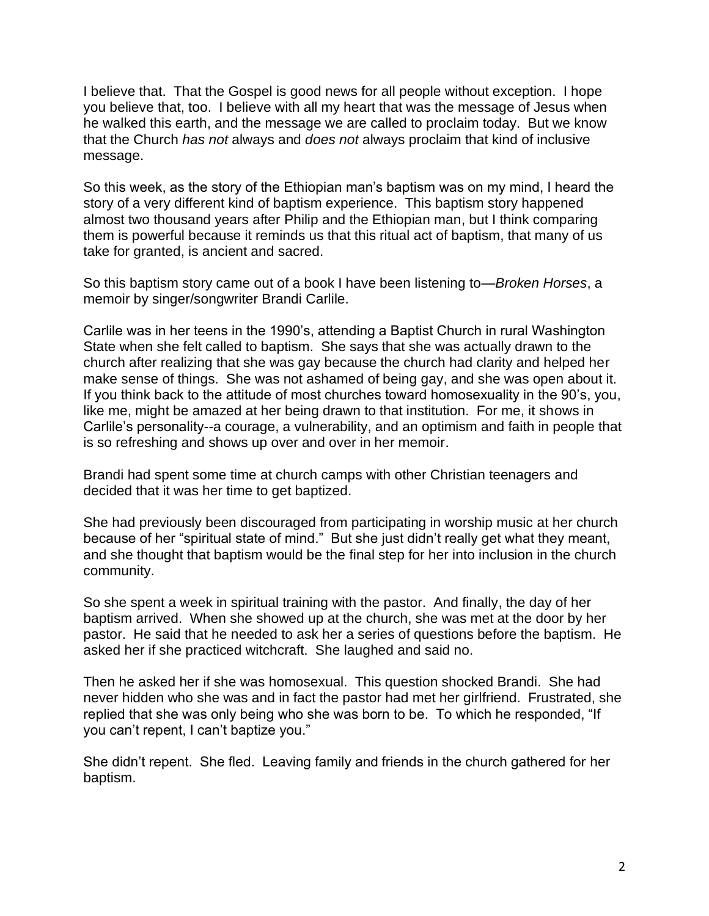I believe that. That the Gospel is good news for all people without exception. I hope you believe that, too. I believe with all my heart that was the message of Jesus when he walked this earth, and the message we are called to proclaim today. But we know that the Church *has not* always and *does not* always proclaim that kind of inclusive message.

So this week, as the story of the Ethiopian man's baptism was on my mind, I heard the story of a very different kind of baptism experience. This baptism story happened almost two thousand years after Philip and the Ethiopian man, but I think comparing them is powerful because it reminds us that this ritual act of baptism, that many of us take for granted, is ancient and sacred.

So this baptism story came out of a book I have been listening to—*Broken Horses*, a memoir by singer/songwriter Brandi Carlile.

Carlile was in her teens in the 1990's, attending a Baptist Church in rural Washington State when she felt called to baptism. She says that she was actually drawn to the church after realizing that she was gay because the church had clarity and helped her make sense of things. She was not ashamed of being gay, and she was open about it. If you think back to the attitude of most churches toward homosexuality in the 90's, you, like me, might be amazed at her being drawn to that institution. For me, it shows in Carlile's personality--a courage, a vulnerability, and an optimism and faith in people that is so refreshing and shows up over and over in her memoir.

Brandi had spent some time at church camps with other Christian teenagers and decided that it was her time to get baptized.

She had previously been discouraged from participating in worship music at her church because of her "spiritual state of mind." But she just didn't really get what they meant, and she thought that baptism would be the final step for her into inclusion in the church community.

So she spent a week in spiritual training with the pastor. And finally, the day of her baptism arrived. When she showed up at the church, she was met at the door by her pastor. He said that he needed to ask her a series of questions before the baptism. He asked her if she practiced witchcraft. She laughed and said no.

Then he asked her if she was homosexual. This question shocked Brandi. She had never hidden who she was and in fact the pastor had met her girlfriend. Frustrated, she replied that she was only being who she was born to be. To which he responded, "If you can't repent, I can't baptize you."

She didn't repent. She fled. Leaving family and friends in the church gathered for her baptism.